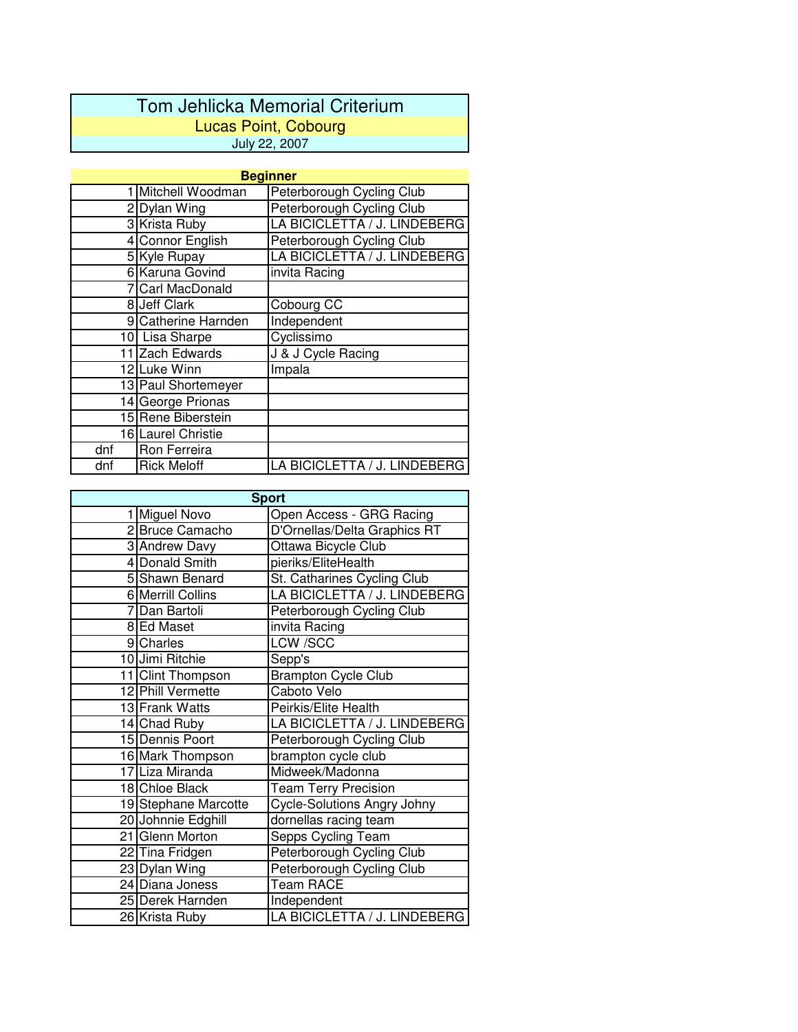## Tom Jehlicka Memorial Criterium Lucas Point, Cobourg July 22, 2007

| <b>Beginner</b> |                     |                              |  |  |
|-----------------|---------------------|------------------------------|--|--|
|                 | Mitchell Woodman    | Peterborough Cycling Club    |  |  |
|                 | 2 Dylan Wing        | Peterborough Cycling Club    |  |  |
|                 | 3 Krista Ruby       | LA BICICLETTA / J. LINDEBERG |  |  |
|                 | 4 Connor English    | Peterborough Cycling Club    |  |  |
|                 | 5 Kyle Rupay        | LA BICICLETTA / J. LINDEBERG |  |  |
|                 | 6 Karuna Govind     | invita Racing                |  |  |
|                 | 7 Carl MacDonald    |                              |  |  |
|                 | 8 Jeff Clark        | Cobourg CC                   |  |  |
|                 | 9 Catherine Harnden | Independent                  |  |  |
|                 | 10 Lisa Sharpe      | Cyclissimo                   |  |  |
|                 | 11 Zach Edwards     | J & J Cycle Racing           |  |  |
|                 | 12 Luke Winn        | Impala                       |  |  |
|                 | 13 Paul Shortemeyer |                              |  |  |
|                 | 14 George Prionas   |                              |  |  |
|                 | 15 Rene Biberstein  |                              |  |  |
|                 | 16 Laurel Christie  |                              |  |  |
| dnf             | Ron Ferreira        |                              |  |  |
| dnf             | <b>Rick Meloff</b>  | LA BICICLETTA / J. LINDEBERG |  |  |

| <b>Sport</b> |                      |                                    |  |
|--------------|----------------------|------------------------------------|--|
|              | 1 Miguel Novo        | Open Access - GRG Racing           |  |
|              | 2 Bruce Camacho      | D'Ornellas/Delta Graphics RT       |  |
|              | 3 Andrew Davy        | Ottawa Bicycle Club                |  |
|              | 4 Donald Smith       | pieriks/EliteHealth                |  |
|              | 5 Shawn Benard       | St. Catharines Cycling Club        |  |
|              | 6 Merrill Collins    | LA BICICLETTA / J. LINDEBERG       |  |
|              | 7 Dan Bartoli        | Peterborough Cycling Club          |  |
|              | 8 Ed Maset           | invita Racing                      |  |
|              | 9 Charles            | <b>LCW /SCC</b>                    |  |
|              | 10 Jimi Ritchie      | Sepp's                             |  |
|              | 11 Clint Thompson    | <b>Brampton Cycle Club</b>         |  |
|              | 12 Phill Vermette    | Caboto Velo                        |  |
|              | 13 Frank Watts       | Peirkis/Elite Health               |  |
|              | 14 Chad Ruby         | LA BICICLETTA / J. LINDEBERG       |  |
|              | 15 Dennis Poort      | Peterborough Cycling Club          |  |
|              | 16 Mark Thompson     | brampton cycle club                |  |
|              | 17 Liza Miranda      | Midweek/Madonna                    |  |
|              | 18 Chloe Black       | <b>Team Terry Precision</b>        |  |
|              | 19 Stephane Marcotte | <b>Cycle-Solutions Angry Johny</b> |  |
|              | 20 Johnnie Edghill   | dornellas racing team              |  |
|              | 21 Glenn Morton      | Sepps Cycling Team                 |  |
|              | 22 Tina Fridgen      | Peterborough Cycling Club          |  |
|              | 23 Dylan Wing        | Peterborough Cycling Club          |  |
|              | 24 Diana Joness      | <b>Team RACE</b>                   |  |
|              | 25 Derek Harnden     | Independent                        |  |
|              | 26 Krista Ruby       | LA BICICLETTA / J. LINDEBERG       |  |